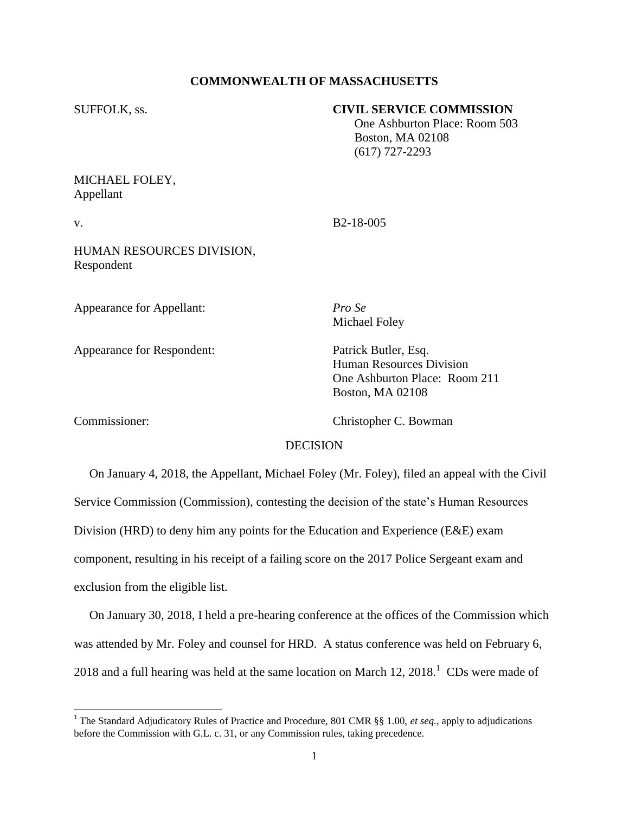# **COMMONWEALTH OF MASSACHUSETTS**

### SUFFOLK, ss. **CIVIL SERVICE COMMISSION**

 One Ashburton Place: Room 503 Boston, MA 02108 (617) 727-2293

MICHAEL FOLEY, Appellant

v. B2-18-005

HUMAN RESOURCES DIVISION, Respondent

Appearance for Appellant: *Pro Se*

Appearance for Respondent: Patrick Butler, Esq.

Michael Foley

Human Resources Division One Ashburton Place: Room 211 Boston, MA 02108

Commissioner: Christopher C. Bowman

# **DECISION**

 On January 4, 2018, the Appellant, Michael Foley (Mr. Foley), filed an appeal with the Civil Service Commission (Commission), contesting the decision of the state's Human Resources Division (HRD) to deny him any points for the Education and Experience (E&E) exam component, resulting in his receipt of a failing score on the 2017 Police Sergeant exam and exclusion from the eligible list.

 On January 30, 2018, I held a pre-hearing conference at the offices of the Commission which was attended by Mr. Foley and counsel for HRD. A status conference was held on February 6, 2018 and a full hearing was held at the same location on March 12, 2018.<sup>1</sup> CDs were made of

 1 The Standard Adjudicatory Rules of Practice and Procedure, 801 CMR §§ 1.00, *et seq.*, apply to adjudications before the Commission with G.L. c. 31, or any Commission rules, taking precedence.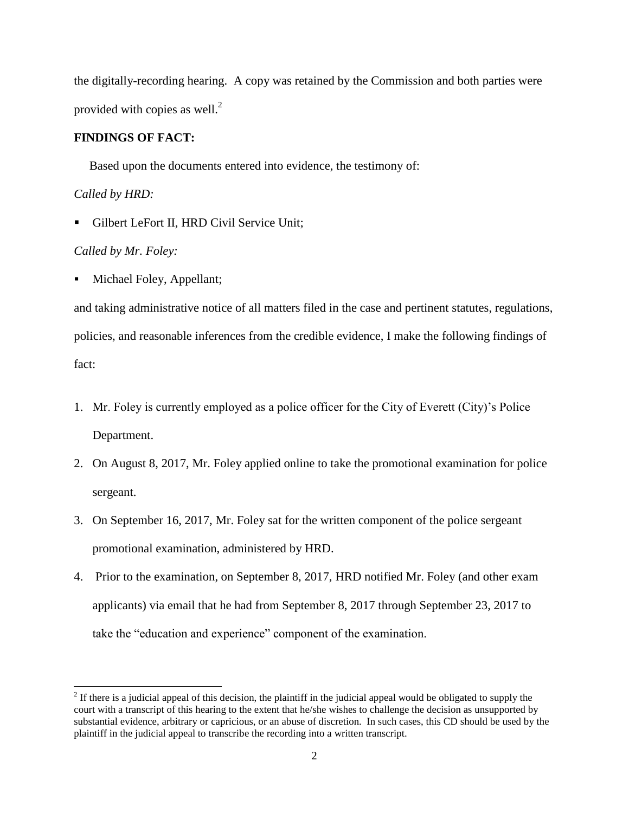the digitally-recording hearing. A copy was retained by the Commission and both parties were provided with copies as well. $<sup>2</sup>$ </sup>

# **FINDINGS OF FACT:**

Based upon the documents entered into evidence, the testimony of:

*Called by HRD:*

 $\overline{\phantom{a}}$ 

Gilbert LeFort II, HRD Civil Service Unit:

# *Called by Mr. Foley:*

Michael Foley, Appellant;

and taking administrative notice of all matters filed in the case and pertinent statutes, regulations, policies, and reasonable inferences from the credible evidence, I make the following findings of fact:

- 1. Mr. Foley is currently employed as a police officer for the City of Everett (City)'s Police Department.
- 2. On August 8, 2017, Mr. Foley applied online to take the promotional examination for police sergeant.
- 3. On September 16, 2017, Mr. Foley sat for the written component of the police sergeant promotional examination, administered by HRD.
- 4. Prior to the examination, on September 8, 2017, HRD notified Mr. Foley (and other exam applicants) via email that he had from September 8, 2017 through September 23, 2017 to take the "education and experience" component of the examination.

 $2<sup>2</sup>$  If there is a judicial appeal of this decision, the plaintiff in the judicial appeal would be obligated to supply the court with a transcript of this hearing to the extent that he/she wishes to challenge the decision as unsupported by substantial evidence, arbitrary or capricious, or an abuse of discretion. In such cases, this CD should be used by the plaintiff in the judicial appeal to transcribe the recording into a written transcript.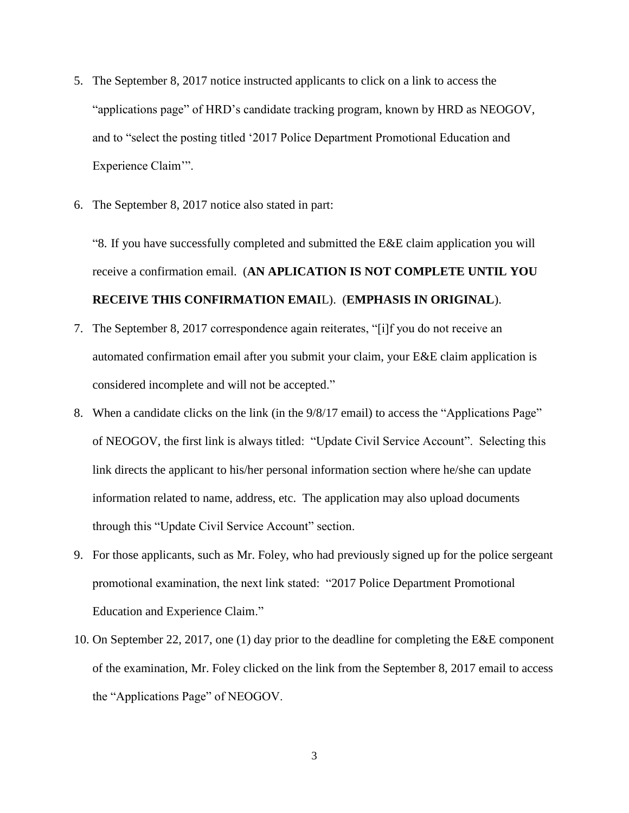- 5. The September 8, 2017 notice instructed applicants to click on a link to access the "applications page" of HRD's candidate tracking program, known by HRD as NEOGOV, and to "select the posting titled '2017 Police Department Promotional Education and Experience Claim'".
- 6. The September 8, 2017 notice also stated in part:

"8. If you have successfully completed and submitted the E&E claim application you will receive a confirmation email. (**AN APLICATION IS NOT COMPLETE UNTIL YOU RECEIVE THIS CONFIRMATION EMAI**L). (**EMPHASIS IN ORIGINAL**).

- 7. The September 8, 2017 correspondence again reiterates, "[i]f you do not receive an automated confirmation email after you submit your claim, your E&E claim application is considered incomplete and will not be accepted."
- 8. When a candidate clicks on the link (in the 9/8/17 email) to access the "Applications Page" of NEOGOV, the first link is always titled: "Update Civil Service Account". Selecting this link directs the applicant to his/her personal information section where he/she can update information related to name, address, etc. The application may also upload documents through this "Update Civil Service Account" section.
- 9. For those applicants, such as Mr. Foley, who had previously signed up for the police sergeant promotional examination, the next link stated: "2017 Police Department Promotional Education and Experience Claim."
- 10. On September 22, 2017, one (1) day prior to the deadline for completing the E&E component of the examination, Mr. Foley clicked on the link from the September 8, 2017 email to access the "Applications Page" of NEOGOV.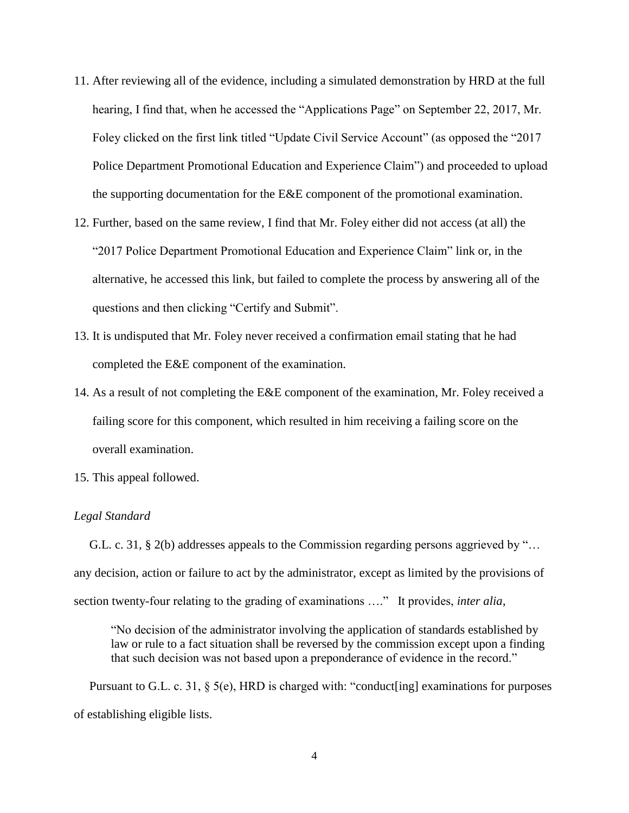- 11. After reviewing all of the evidence, including a simulated demonstration by HRD at the full hearing, I find that, when he accessed the "Applications Page" on September 22, 2017, Mr. Foley clicked on the first link titled "Update Civil Service Account" (as opposed the "2017 Police Department Promotional Education and Experience Claim") and proceeded to upload the supporting documentation for the E&E component of the promotional examination.
- 12. Further, based on the same review, I find that Mr. Foley either did not access (at all) the "2017 Police Department Promotional Education and Experience Claim" link or, in the alternative, he accessed this link, but failed to complete the process by answering all of the questions and then clicking "Certify and Submit".
- 13. It is undisputed that Mr. Foley never received a confirmation email stating that he had completed the E&E component of the examination.
- 14. As a result of not completing the E&E component of the examination, Mr. Foley received a failing score for this component, which resulted in him receiving a failing score on the overall examination.
- 15. This appeal followed.

### *Legal Standard*

 G.L. c. 31, § 2(b) addresses appeals to the Commission regarding persons aggrieved by "… any decision, action or failure to act by the administrator, except as limited by the provisions of section twenty-four relating to the grading of examinations …." It provides, *inter alia*,

"No decision of the administrator involving the application of standards established by law or rule to a fact situation shall be reversed by the commission except upon a finding that such decision was not based upon a preponderance of evidence in the record."

 Pursuant to G.L. c. 31, § 5(e), HRD is charged with: "conduct[ing] examinations for purposes of establishing eligible lists.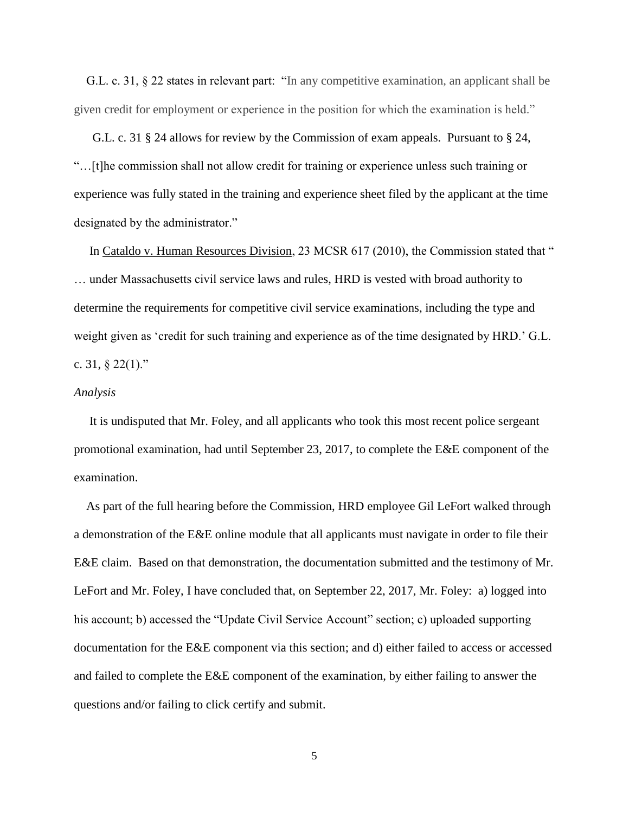G.L. c. 31, § 22 states in relevant part: "In any competitive examination, an applicant shall be given credit for employment or experience in the position for which the examination is held."

 G.L. c. 31 § 24 allows for review by the Commission of exam appeals. Pursuant to § 24, "…[t]he commission shall not allow credit for training or experience unless such training or experience was fully stated in the training and experience sheet filed by the applicant at the time designated by the administrator."

 In Cataldo v. Human Resources Division, 23 MCSR 617 (2010), the Commission stated that " … under Massachusetts civil service laws and rules, HRD is vested with broad authority to determine the requirements for competitive civil service examinations, including the type and weight given as 'credit for such training and experience as of the time designated by HRD.' G.L. c. 31,  $\S$  22(1)."

#### *Analysis*

 It is undisputed that Mr. Foley, and all applicants who took this most recent police sergeant promotional examination, had until September 23, 2017, to complete the E&E component of the examination.

 As part of the full hearing before the Commission, HRD employee Gil LeFort walked through a demonstration of the E&E online module that all applicants must navigate in order to file their E&E claim. Based on that demonstration, the documentation submitted and the testimony of Mr. LeFort and Mr. Foley, I have concluded that, on September 22, 2017, Mr. Foley: a) logged into his account; b) accessed the "Update Civil Service Account" section; c) uploaded supporting documentation for the E&E component via this section; and d) either failed to access or accessed and failed to complete the E&E component of the examination, by either failing to answer the questions and/or failing to click certify and submit.

5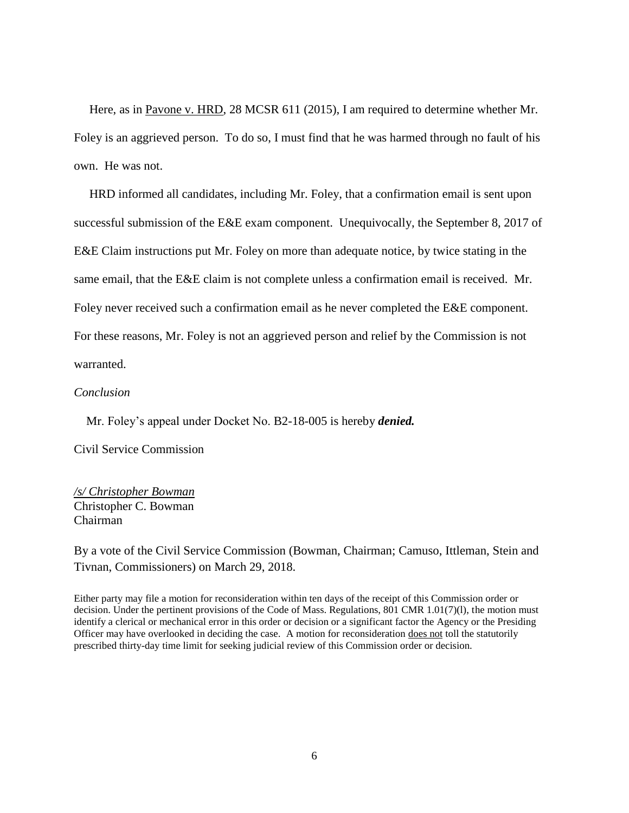Here, as in Pavone v. HRD, 28 MCSR 611 (2015), I am required to determine whether Mr. Foley is an aggrieved person. To do so, I must find that he was harmed through no fault of his own. He was not.

 HRD informed all candidates, including Mr. Foley, that a confirmation email is sent upon successful submission of the E&E exam component. Unequivocally, the September 8, 2017 of E&E Claim instructions put Mr. Foley on more than adequate notice, by twice stating in the same email, that the E&E claim is not complete unless a confirmation email is received. Mr. Foley never received such a confirmation email as he never completed the E&E component. For these reasons, Mr. Foley is not an aggrieved person and relief by the Commission is not warranted.

### *Conclusion*

Mr. Foley's appeal under Docket No. B2-18-005 is hereby *denied.*

Civil Service Commission

# */s/ Christopher Bowman* Christopher C. Bowman Chairman

By a vote of the Civil Service Commission (Bowman, Chairman; Camuso, Ittleman, Stein and Tivnan, Commissioners) on March 29, 2018.

Either party may file a motion for reconsideration within ten days of the receipt of this Commission order or decision. Under the pertinent provisions of the Code of Mass. Regulations, 801 CMR 1.01(7)(l), the motion must identify a clerical or mechanical error in this order or decision or a significant factor the Agency or the Presiding Officer may have overlooked in deciding the case. A motion for reconsideration does not toll the statutorily prescribed thirty-day time limit for seeking judicial review of this Commission order or decision.